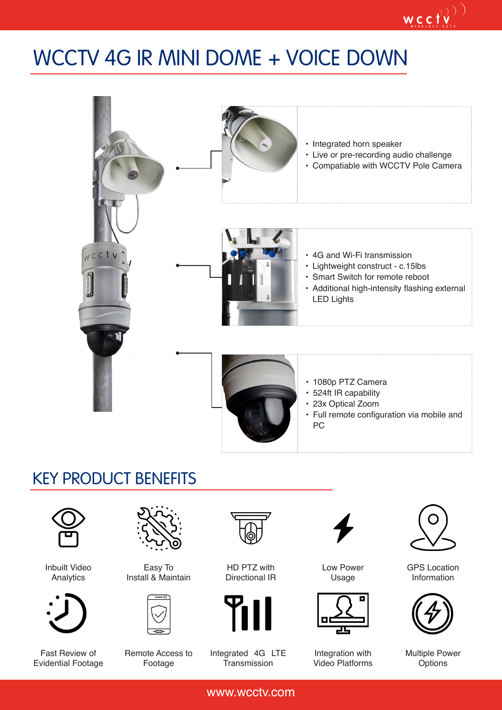## WCCTV 4G IR MINI DOME + VOICE DOWN



### KEY PRODUCT BENEFITS



Inbuilt Video Analytics



Fast Review of Evidential Footage



Easy To Install & Maintain



Remote Access to Footage



HD PTZ with Directional IR



Integrated 4G LTE **Transmission** 



Low Power Usage



Integration with Video Platforms



 $\mathop{\mathsf{wc}}\limits_{\mathop{\mathsf{cc}}\limits_{\mathop{\mathsf{v}}\limits^{\mathsf{u}}}\mathop{\mathsf{cc}}\limits^{\mathsf{u}}\mathop{\mathsf{cv}}\limits^{\mathsf{v}}\mathop{\mathsf{cv}}\limits^{\mathsf{v}}\mathop{\mathsf{cv}}\limits^{\mathsf{v}}$ 

GPS Location Information



Multiple Power **Options** 

www.wcctv.com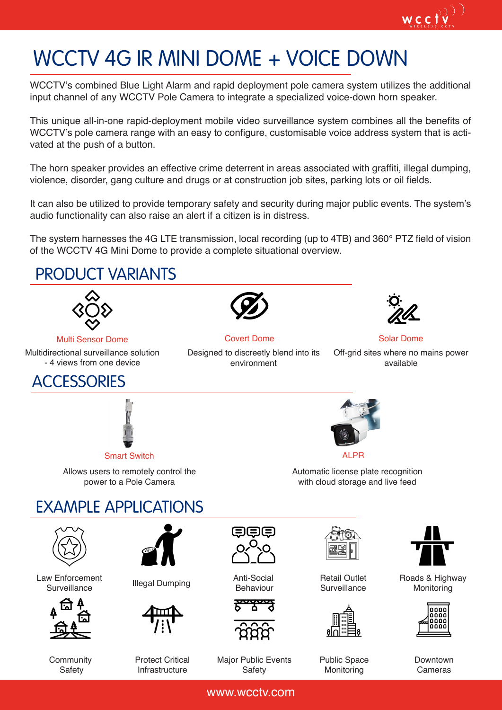# WCCTV 4G IR MINI DOME + VOICE DOWN

WCCTV's combined Blue Light Alarm and rapid deployment pole camera system utilizes the additional input channel of any WCCTV Pole Camera to integrate a specialized voice-down horn speaker.

This unique all-in-one rapid-deployment mobile video surveillance system combines all the benefits of WCCTV's pole camera range with an easy to configure, customisable voice address system that is activated at the push of a button.

The horn speaker provides an effective crime deterrent in areas associated with graffiti, illegal dumping, violence, disorder, gang culture and drugs or at construction job sites, parking lots or oil fields.

It can also be utilized to provide temporary safety and security during major public events. The system's audio functionality can also raise an alert if a citizen is in distress.

The system harnesses the 4G LTE transmission, local recording (up to 4TB) and 360° PTZ field of vision of the WCCTV 4G Mini Dome to provide a complete situational overview.

#### EXAMPLE APPLICATIONS PRODUCT VARIANTS Covert Dome **Solar Dome** Designed to discreetly blend into its environment available **ACCESSORIES** Smart Switch **ALPR** Allows users to remotely control the power to a Pole Camera Automatic license plate recognition with cloud storage and live feed Law Enforcement<br>Surveillance Surveillance Illegal Dumping Anti-Social Behaviour Retail Outlet Surveillance **Community** Multi Sensor Dome Multidirectional surveillance solution - 4 views from one device

**Safety** 

Protect Critical Infrastructure

Major Public Events **Safety** 

www.wcctv.com

Public Space **Monitoring** 



Roads & Highway **Monitoring** 



Downtown Cameras



Off-grid sites where no mains power

 $W_{\text{w.r.}(\text{e.f})}(\text{y})$